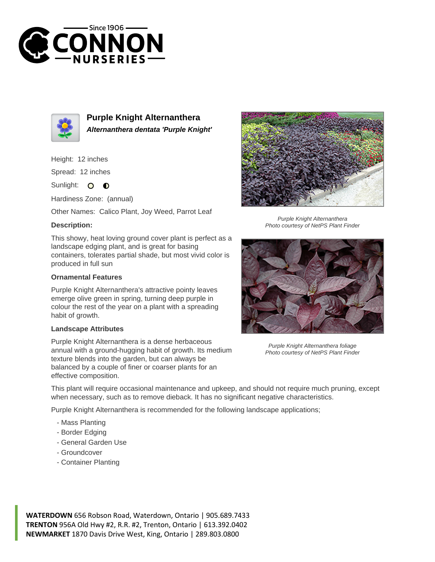



**Purple Knight Alternanthera Alternanthera dentata 'Purple Knight'**

Height: 12 inches

Spread: 12 inches

Sunlight: O **O** 

Hardiness Zone: (annual)

Other Names: Calico Plant, Joy Weed, Parrot Leaf

## **Description:**

This showy, heat loving ground cover plant is perfect as a landscape edging plant, and is great for basing containers, tolerates partial shade, but most vivid color is produced in full sun

## **Ornamental Features**

Purple Knight Alternanthera's attractive pointy leaves emerge olive green in spring, turning deep purple in colour the rest of the year on a plant with a spreading habit of growth.

## **Landscape Attributes**

Purple Knight Alternanthera is a dense herbaceous annual with a ground-hugging habit of growth. Its medium texture blends into the garden, but can always be balanced by a couple of finer or coarser plants for an effective composition.



Purple Knight Alternanthera Photo courtesy of NetPS Plant Finder



Purple Knight Alternanthera foliage Photo courtesy of NetPS Plant Finder

This plant will require occasional maintenance and upkeep, and should not require much pruning, except when necessary, such as to remove dieback. It has no significant negative characteristics.

Purple Knight Alternanthera is recommended for the following landscape applications;

- Mass Planting
- Border Edging
- General Garden Use
- Groundcover
- Container Planting

**WATERDOWN** 656 Robson Road, Waterdown, Ontario | 905.689.7433 **TRENTON** 956A Old Hwy #2, R.R. #2, Trenton, Ontario | 613.392.0402 **NEWMARKET** 1870 Davis Drive West, King, Ontario | 289.803.0800